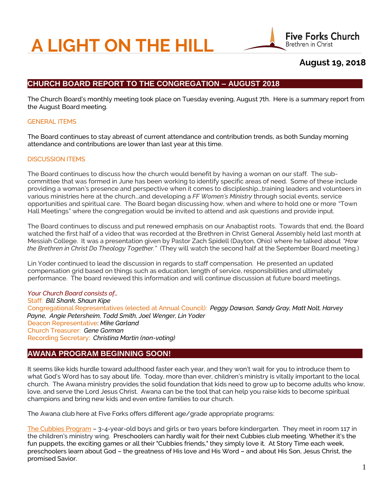# **A LIGHT ON THE HILL**



# **August 19, 2018**

# **CHURCH BOARD REPORT TO THE CONGREGATION – AUGUST 2018**

 The Church Board's monthly meeting took place on Tuesday evening, August 7th. Here is a summary report from the August Board meeting.

#### GENERAL ITEMS

 The Board continues to stay abreast of current attendance and contribution trends, as both Sunday morning attendance and contributions are lower than last year at this time.

#### DISCUSSION ITEMS

 The Board continues to discuss how the church would benefit by having a woman on our staff. The sub committee that was formed in June has been working to identify specific areas of need. Some of these include providing a woman's presence and perspective when it comes to discipleship...training leaders and volunteers in various ministries here at the church...and developing a *FF Women's Ministry* through social events, service opportunities and spiritual care. The Board began discussing how, when and where to hold one or more "Town Hall Meetings" where the congregation would be invited to attend and ask questions and provide input.

 The Board continues to discuss and put renewed emphasis on our Anabaptist roots. Towards that end, the Board watched the first half of a video that was recorded at the Brethren in Christ General Assembly held last month at Messiah College. It was a presentation given by Pastor Zach Spidell (Dayton, Ohio) where he talked about *"How the Brethren in Christ Do Theology Together."* (They will watch the second half at the September Board meeting.)

 Lin Yoder continued to lead the discussion in regards to staff compensation. He presented an updated compensation grid based on things such as education, length of service, responsibilities and ultimately performance. The board reviewed this information and will continue discussion at future board meetings.

#### *Your Church Board consists of…*

 Staff: *Bill Shank, Shaun Kipe* Congregational Representatives (elected at Annual Council): *Peggy Dawson, Sandy Gray, Matt Nolt, Harvey Payne, Angie Petersheim, Todd Smith, Joel Wenger, Lin Yoder* Deacon Representative: *Mike Garland* Church Treasurer: *Gene Gorman* Recording Secretary: *Christina Martin (non-voting)*

## **AWANA PROGRAM BEGINNING SOON!**

It seems like kids hurdle toward adulthood faster each year, and they won't wait for you to introduce them to what God's Word has to say about life. Today, more than ever, children's ministry is vitally important to the local church. The Awana ministry provides the solid foundation that kids need to grow up to become adults who know, love, and serve the Lord Jesus Christ. Awana can be the tool that can help you raise kids to become spiritual champions and bring new kids and even entire families to our church.

The Awana club here at Five Forks offers different age/grade appropriate programs:

The Cubbies Program – 3-4-year-old boys and girls or two years before kindergarten. They meet in room 117 in the children's ministry wing. Preschoolers can hardly wait for their next Cubbies club meeting. Whether it's the fun puppets, the exciting games or all their "Cubbies friends," they simply love it. At Story Time each week, preschoolers learn about God – the greatness of His love and His Word – and about His Son, Jesus Christ, the promised Savior.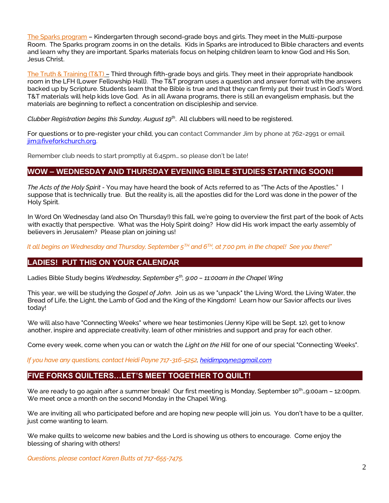The Sparks program – Kindergarten through second-grade boys and girls. They meet in the Multi-purpose Room. The Sparks program zooms in on the details. Kids in Sparks are introduced to Bible characters and events and learn why they are important. Sparks materials focus on helping children learn to know God and His Son, Jesus Christ.

The Truth & Training (T&T) – Third through fifth-grade boys and girls. They meet in their appropriate handbook room in the LFH (Lower Fellowship Hall). The T&T program uses a question and answer format with the answers backed up by Scripture. Students learn that the Bible is true and that they can firmly put their trust in God's Word. T&T materials will help kids love God. As in all Awana programs, there is still an evangelism emphasis, but the materials are beginning to reflect a concentration on discipleship and service.

*Clubber Registration begins this Sunday, August 19th* . All clubbers will need to be registered.

For questions or to pre-register your child, you can contact Commander Jim by phone at 762-2991 or email [jim@fiveforkchurch.org.](mailto:jim@fiveforkchurch.org)

Remember club needs to start promptly at 6:45pm… so please don't be late!

## **WOW – WEDNESDAY AND THURSDAY EVENING BIBLE STUDIES STARTING SOON!**

 *The Acts of the Holy Spirit -* You may have heard the book of Acts referred to as "The Acts of the Apostles." I suppose that is technically true. But the reality is, all the apostles did for the Lord was done in the power of the Holy Spirit.

 In Word On Wednesday (and also On Thursday!) this fall, we're going to overview the first part of the book of Acts with exactly that perspective. What was the Holy Spirit doing? How did His work impact the early assembly of believers in Jerusalem? Please plan on joining us!

 *It all begins on Wednesday and Thursday, September 5TH and 6TH, at 7:00 pm, in the chapel! See you there!"*

## **LADIES! PUT THIS ON YOUR CALENDAR**

Ladies Bible Study begins *Wednesday, September 5th, 9:00 – 11:00am in the Chapel Wing*

 This year, we will be studying the *Gospel of John*. Join us as we "unpack" the Living Word, the Living Water, the Bread of Life, the Light, the Lamb of God and the King of the Kingdom! Learn how our Savior affects our lives today!

 We will also have "Connecting Weeks" where we hear testimonies (Jenny Kipe will be Sept. 12), get to know another, inspire and appreciate creativity, learn of other ministries and support and pray for each other.

Come every week, come when you can or watch the *Light on the Hill* for one of our special "Connecting Weeks".

 *If you have any questions, contact Heidi Payne 717-316-5252[, heidimpayne@gmail.com](mailto:heidimpayne@gmail.com)*

## **FIVE FORKS QUILTERS…LET'S MEET TOGETHER TO QUILT!**

We are ready to go again after a summer break! Our first meeting is Monday, September 10<sup>th</sup>...9:00am - 12:00pm. We meet once a month on the second Monday in the Chapel Wing.

We are inviting all who participated before and are hoping new people will join us. You don't have to be a quilter, just come wanting to learn.

We make quilts to welcome new babies and the Lord is showing us others to encourage. Come enjoy the blessing of sharing with others!

*Questions, please contact Karen Butts at 717-655-7475.*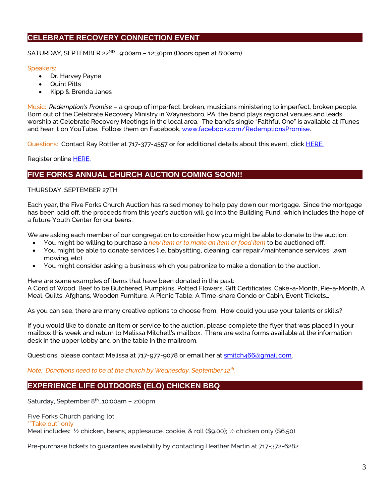# **CELEBRATE RECOVERY CONNECTION EVENT**

SATURDAY, SEPTEMBER 22<sup>ND</sup> ...9:00am - 12:30pm (Doors open at 8:00am)

#### Speakers:

- Dr. Harvey Payne
- Quint Pitts
- Kipp & Brenda Janes

Music: *Redemption's Promise* – a group of imperfect, broken, musicians ministering to imperfect, broken people. Born out of the Celebrate Recovery Ministry in Waynesboro, PA, the band plays regional venues and leads worship at Celebrate Recovery Meetings in the local area. The band's single "Faithful One" is available at iTunes and hear it on YouTube. Follow them on Facebook[, www.facebook.com/RedemptionsPromise.](http://www.facebook.com/RedemptionsPromise)

Questions: Contact Ray Rottler at 717-377-4557 or for additional details about this event, clic[k HERE.](http://www.ffbic.org/wp-content/uploads/2018/08/CR-Connection-Event.pdf)

Register online [HERE.](http://www.ffbic.org/ministries/celebrate-recovery/)

## **FIVE FORKS ANNUAL CHURCH AUCTION COMING SOON!!**

#### THURSDAY, SEPTEMBER 27TH

Each year, the Five Forks Church Auction has raised money to help pay down our mortgage. Since the mortgage has been paid off, the proceeds from this year's auction will go into the Building Fund, which includes the hope of a future Youth Center for our teens.

We are asking each member of our congregation to consider how you might be able to donate to the auction:

- You might be willing to purchase a *new item or to make an item or food item* to be auctioned off.
- You might be able to donate services (i.e. babysitting, cleaning, car repair/maintenance services, lawn mowing, etc)
- You might consider asking a business which you patronize to make a donation to the auction.

Here are some examples of items that have been donated in the past:

A Cord of Wood, Beef to be Butchered, Pumpkins, Potted Flowers, Gift Certificates, Cake-a-Month, Pie-a-Month, A Meal, Quilts, Afghans, Wooden Furniture, A Picnic Table, A Time-share Condo or Cabin, Event Tickets…

As you can see, there are many creative options to choose from. How could you use your talents or skills?

If you would like to donate an item or service to the auction, please complete the flyer that was placed in your mailbox this week and return to Melissa Mitchell's mailbox. There are extra forms available at the information desk in the upper lobby and on the table in the mailroom.

Questions, please contact Melissa at 717-977-9078 or email her at smitch466@qmail.com.

*Note: Donations need to be at the church by Wednesday, September 12th .*

# **EXPERIENCE LIFE OUTDOORS (ELO) CHICKEN BBQ**

Saturday, September 8<sup>th</sup>...10:00am - 2:00pm

Five Forks Church parking lot

\*"Take out" only

Meal includes: ½ chicken, beans, applesauce, cookie, & roll (\$9.00); ½ chicken only (\$6.50)

Pre-purchase tickets to guarantee availability by contacting Heather Martin at 717-372-6282.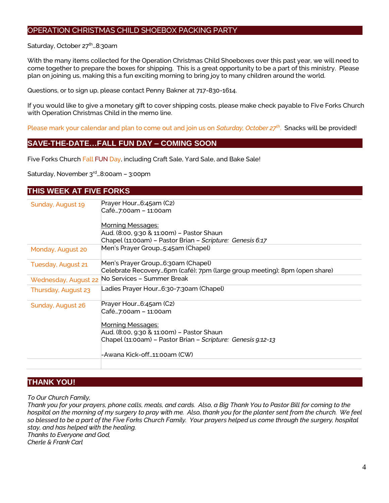## OPERATION CHRISTMAS CHILD SHOEBOX PACKING PARTY

#### Saturday, October 27<sup>th</sup>...8:30am

With the many items collected for the Operation Christmas Child Shoeboxes over this past year, we will need to come together to prepare the boxes for shipping. This is a great opportunity to be a part of this ministry. Please plan on joining us, making this a fun exciting morning to bring joy to many children around the world.

Questions, or to sign up, please contact Penny Bakner at 717-830-1614.

If you would like to give a monetary gift to cover shipping costs, please make check payable to Five Forks Church with Operation Christmas Child in the memo line.

Please mark your calendar and plan to come out and join us on *Saturday, October 27th* . Snacks will be provided!

## **SAVE-THE-DATE…FALL FUN DAY – COMING SOON**

Five Forks Church Fall FUN Day, including Craft Sale, Yard Sale, and Bake Sale!

Saturday, November 3rd…8:00am – 3:00pm

## **THIS WEEK AT FIVE FORKS**

| Sunday, August 19    | Prayer Hour6:45am (C2)                                                    |
|----------------------|---------------------------------------------------------------------------|
|                      | Café7:00am - 11:00am                                                      |
|                      |                                                                           |
|                      | Morning Messages:                                                         |
|                      | Aud. (8:00, 9:30 & 11:00m) – Pastor Shaun                                 |
|                      | Chapel (11:00am) – Pastor Brian – Scripture: Genesis 6:17                 |
| Monday, August 20    | Men's Prayer Group5:45am (Chapel)                                         |
| Tuesday, August 21   | Men's Prayer Group6:30am (Chapel)                                         |
|                      | Celebrate Recovery6pm (café); 7pm (large group meeting); 8pm (open share) |
| Wednesday, August 22 | No Services - Summer Break                                                |
| Thursday, August 23  | Ladies Prayer Hour6:30-7:30am (Chapel)                                    |
| Sunday, August 26    | Prayer Hour6:45am (C2)                                                    |
|                      | Café7:00am - 11:00am                                                      |
|                      | <b>Morning Messages:</b>                                                  |
|                      | Aud. (8:00, 9:30 & 11:00m) – Pastor Shaun                                 |
|                      | Chapel (11:00am) - Pastor Brian - Scripture: Genesis 9:12-13              |
|                      |                                                                           |
|                      | -Awana Kick-off…11:00am (CW)                                              |
|                      |                                                                           |

## **THANK YOU!**

*To Our Church Family,*

*Thank you for your prayers, phone calls, meals, and cards. Also, a Big Thank You to Pastor Bill for coming to the hospital on the morning of my surgery to pray with me. Also, thank you for the planter sent from the church. We feel so blessed to be a part of the Five Forks Church Family. Your prayers helped us come through the surgery, hospital stay, and has helped with the healing. Thanks to Everyone and God,*

*Cherle & Frank Carl*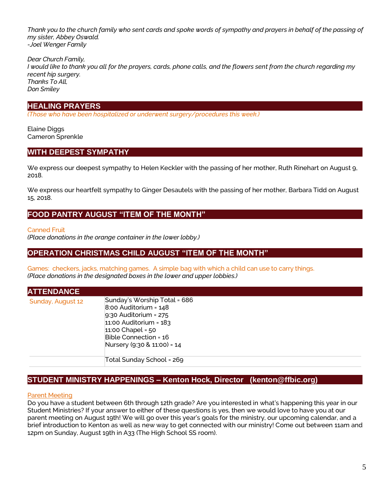*Thank you to the church family who sent cards and spoke words of sympathy and prayers in behalf of the passing of my sister, Abbey Oswald. -Joel Wenger Family*

*Dear Church Family, I would like to thank you all for the prayers, cards, phone calls, and the flowers sent from the church regarding my recent hip surgery. Thanks To All, Don Smiley*

## **HEALING PRAYERS**

*(Those who have been hospitalized or underwent surgery/procedures this week.)*

Elaine Diggs Cameron Sprenkle

## **WITH DEEPEST SYMPATHY**

We express our deepest sympathy to Helen Keckler with the passing of her mother, Ruth Rinehart on August 9, 2018.

We express our heartfelt sympathy to Ginger Desautels with the passing of her mother, Barbara Tidd on August 15, 2018.

## **FOOD PANTRY AUGUST "ITEM OF THE MONTH"**

Canned Fruit

*(Place donations in the orange container in the lower lobby.)*

## **OPERATION CHRISTMAS CHILD AUGUST "ITEM OF THE MONTH"**

Games: checkers, jacks, matching games. A simple bag with which a child can use to carry things. *(Place donations in the designated boxes in the lower and upper lobbies.)*

| <b>ATTENDANCE</b> |                                                                                                                                                                                                     |
|-------------------|-----------------------------------------------------------------------------------------------------------------------------------------------------------------------------------------------------|
| Sunday, August 12 | Sunday's Worship Total = 686<br>$8:00$ Auditorium = $148$<br>$9:30$ Auditorium = 275<br>$11:00$ Auditorium = $183$<br>$11:00$ Chapel = $50$<br>Bible Connection = 16<br>Nursery (9:30 & 11:00) = 14 |
|                   | Total Sunday School = 269                                                                                                                                                                           |

## **STUDENT MINISTRY HAPPENINGS – Kenton Hock, Director (kenton@ffbic.org)**

#### Parent Meeting

Do you have a student between 6th through 12th grade? Are you interested in what's happening this year in our Student Ministries? If your answer to either of these questions is yes, then we would love to have you at our parent meeting on August 19th! We will go over this year's goals for the ministry, our upcoming calendar, and a brief introduction to Kenton as well as new way to get connected with our ministry! Come out between 11am and 12pm on Sunday, August 19th in A33 (The High School SS room).